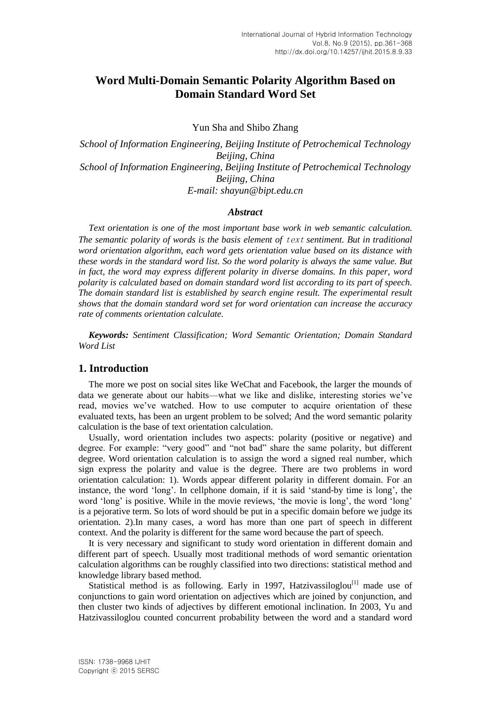# **Word Multi-Domain Semantic Polarity Algorithm Based on Domain Standard Word Set**

Yun Sha and Shibo Zhang

*School of Information Engineering, Beijing Institute of Petrochemical Technology Beijing, China School of Information Engineering, Beijing Institute of Petrochemical Technology Beijing, China E-mail: shayun@bipt.edu.cn*

#### *Abstract*

*Text orientation is one of the most important base work in web semantic calculation. The semantic polarity of words is the basis element of* text *sentiment. But in traditional word orientation algorithm, each word gets orientation value based on its distance with these words in the standard word list. So the word polarity is always the same value. But in fact, the word may express different polarity in diverse domains. In this paper, word polarity is calculated based on domain standard word list according to its part of speech. The domain standard list is established by search engine result. The experimental result shows that the domain standard word set for word orientation can increase the accuracy rate of comments orientation calculate.*

*Keywords: Sentiment Classification; Word Semantic Orientation; Domain Standard Word List*

### **1. Introduction**

The more we post on social sites like WeChat and Facebook, the larger the mounds of data we generate about our habits—what we like and dislike, interesting stories we"ve read, movies we"ve watched. How to use computer to acquire orientation of these evaluated texts, has been an urgent problem to be solved; And the word semantic polarity calculation is the base of text orientation calculation.

Usually, word orientation includes two aspects: polarity (positive or negative) and degree. For example: "very good" and "not bad" share the same polarity, but different degree. Word orientation calculation is to assign the word a signed real number, which sign express the polarity and value is the degree. There are two problems in word orientation calculation: 1). Words appear different polarity in different domain. For an instance, the word "long". In cellphone domain, if it is said "stand-by time is long", the word "long" is positive. While in the movie reviews, "the movie is long", the word "long" is a pejorative term. So lots of word should be put in a specific domain before we judge its orientation. 2).In many cases, a word has more than one part of speech in different context. And the polarity is different for the same word because the part of speech.

It is very necessary and significant to study word orientation in different domain and different part of speech. Usually most traditional methods of word semantic orientation calculation algorithms can be roughly classified into two directions: statistical method and knowledge library based method.

Statistical method is as following. Early in 1997, Hatzivassiloglou<sup>[1]</sup> made use of conjunctions to gain word orientation on adjectives which are joined by conjunction, and then cluster two kinds of adjectives by different emotional inclination. In 2003, Yu and Hatzivassiloglou counted concurrent probability between the word and a standard word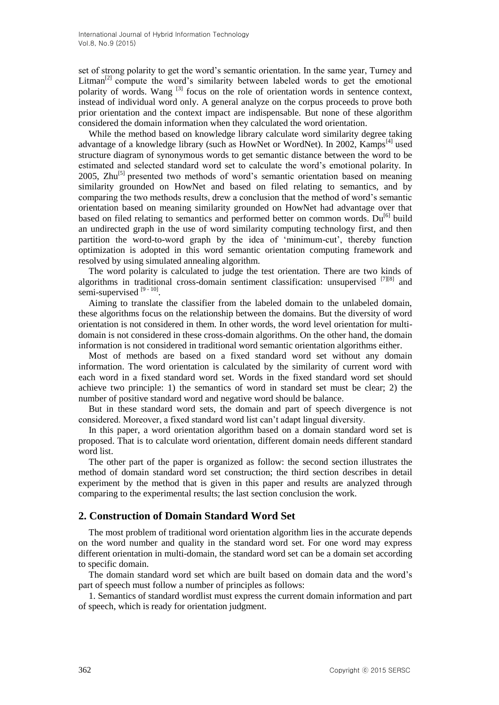set of strong polarity to get the word"s semantic orientation. In the same year, Turney and Litman<sup>[2]</sup> compute the word's similarity between labeled words to get the emotional polarity of words. Wang <sup>[3]</sup> focus on the role of orientation words in sentence context, instead of individual word only. A general analyze on the corpus proceeds to prove both prior orientation and the context impact are indispensable. But none of these algorithm considered the domain information when they calculated the word orientation.

While the method based on knowledge library calculate word similarity degree taking advantage of a knowledge library (such as HowNet or WordNet). In 2002, Kamps<sup>[4]</sup> used structure diagram of synonymous words to get semantic distance between the word to be estimated and selected standard word set to calculate the word"s emotional polarity. In 2005,  $\text{Zhu}^{[5]}$  presented two methods of word's semantic orientation based on meaning similarity grounded on HowNet and based on filed relating to semantics, and by comparing the two methods results, drew a conclusion that the method of word"s semantic orientation based on meaning similarity grounded on HowNet had advantage over that based on filed relating to semantics and performed better on common words. Du<sup>[6]</sup> build an undirected graph in the use of word similarity computing technology first, and then partition the word-to-word graph by the idea of 'minimum-cut', thereby function optimization is adopted in this word semantic orientation computing framework and resolved by using simulated annealing algorithm.

The word polarity is calculated to judge the test orientation. There are two kinds of algorithms in traditional cross-domain sentiment classification: unsupervised <sup>[7][8]</sup> and semi-supervised<sup>[9-10]</sup>.

Aiming to translate the classifier from the labeled domain to the unlabeled domain, these algorithms focus on the relationship between the domains. But the diversity of word orientation is not considered in them. In other words, the word level orientation for multidomain is not considered in these cross-domain algorithms. On the other hand, the domain information is not considered in traditional word semantic orientation algorithms either.

Most of methods are based on a fixed standard word set without any domain information. The word orientation is calculated by the similarity of current word with each word in a fixed standard word set. Words in the fixed standard word set should achieve two principle: 1) the semantics of word in standard set must be clear; 2) the number of positive standard word and negative word should be balance.

But in these standard word sets, the domain and part of speech divergence is not considered. Moreover, a fixed standard word list can"t adapt lingual diversity.

In this paper, a word orientation algorithm based on a domain standard word set is proposed. That is to calculate word orientation, different domain needs different standard word list.

The other part of the paper is organized as follow: the second section illustrates the method of domain standard word set construction; the third section describes in detail experiment by the method that is given in this paper and results are analyzed through comparing to the experimental results; the last section conclusion the work.

### **2. Construction of Domain Standard Word Set**

The most problem of traditional word orientation algorithm lies in the accurate depends on the word number and quality in the standard word set. For one word may express different orientation in multi-domain, the standard word set can be a domain set according to specific domain.

The domain standard word set which are built based on domain data and the word"s part of speech must follow a number of principles as follows:

1. Semantics of standard wordlist must express the current domain information and part of speech, which is ready for orientation judgment.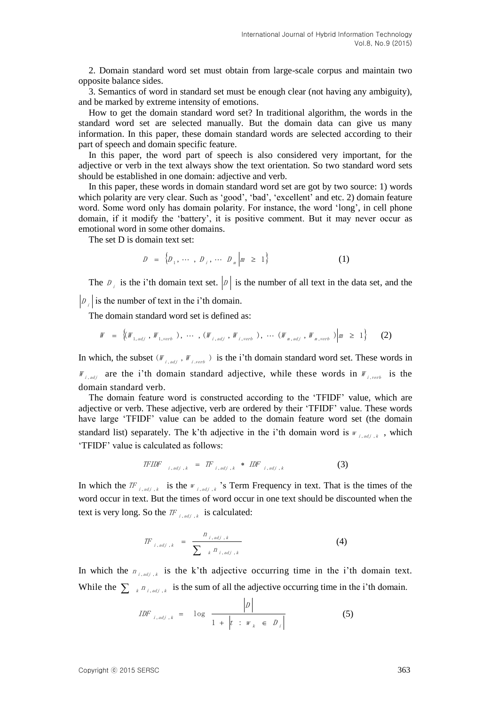2. Domain standard word set must obtain from large-scale corpus and maintain two opposite balance sides.

3. Semantics of word in standard set must be enough clear (not having any ambiguity), and be marked by extreme intensity of emotions.

How to get the domain standard word set? In traditional algorithm, the words in the standard word set are selected manually. But the domain data can give us many information. In this paper, these domain standard words are selected according to their part of speech and domain specific feature.

In this paper, the word part of speech is also considered very important, for the adjective or verb in the text always show the text orientation. So two standard word sets should be established in one domain: adjective and verb.

In this paper, these words in domain standard word set are got by two source: 1) words which polarity are very clear. Such as 'good', 'bad', 'excellent' and etc. 2) domain feature word. Some word only has domain polarity. For instance, the word "long", in cell phone domain, if it modify the "battery", it is positive comment. But it may never occur as emotional word in some other domains.

The set D is domain text set:

$$
D = \{D_1, \cdots, D_j, \cdots, D_m | m \ge 1\}
$$
 (1)

The  $D_i$  is the i'th domain text set.  $|D|$  is the number of all text in the data set, and the  $D_i$  is the number of text in the i'th domain.

The domain standard word set is defined as:

$$
W = \left\{ (W_{1, adj}, W_{1, verb}), \cdots, (W_{i, adj}, W_{i, verb}), \cdots (W_{m, adj}, W_{m,verb}) \middle| m \ge 1 \right\}
$$
 (2)

In which, the subset  $(W_{i,adj}, W_{i,vert})$  is the i'th domain standard word set. These words in  $W_{i,adj}$  are the i'th domain standard adjective, while these words in  $W_{i,vert}$  is the domain standard verb.

The domain feature word is constructed according to the "TFIDF" value, which are adjective or verb. These adjective, verb are ordered by their "TFIDF" value. These words have large "TFIDF" value can be added to the domain feature word set (the domain standard list) separately. The k'th adjective in the i'th domain word is  $W_{i,adj,k}$ , which "TFIDF" value is calculated as follows:

$$
\text{TFIDF}_{i, \text{adj}, k} = \text{TF}_{i, \text{adj}, k} * \text{IDF}_{i, \text{adj}, k} \tag{3}
$$

In which the  $TF_{i,adj,k}$  is the  $W_{i,adj,k}$  's Term Frequency in text. That is the times of the word occur in text. But the times of word occur in one text should be discounted when the text is very long. So the  $IF_{i,adj, k}$  is calculated:

$$
TF_{i, adj,k} = \frac{n_{i, adj,k}}{\sum_{k} P_{i, adj,k}}
$$
 (4)

In which the  $n_{i,adj,k}$  is the k'th adjective occurring time in the i'th domain text. While the  $\sum_{k} n_{i,adj,k}$  is the sum of all the adjective occurring time in the i'th domain.

$$
IDF_{i,adj,k} = \log \frac{|D|}{1 + |t| : w_k \in D_i}
$$
 (5)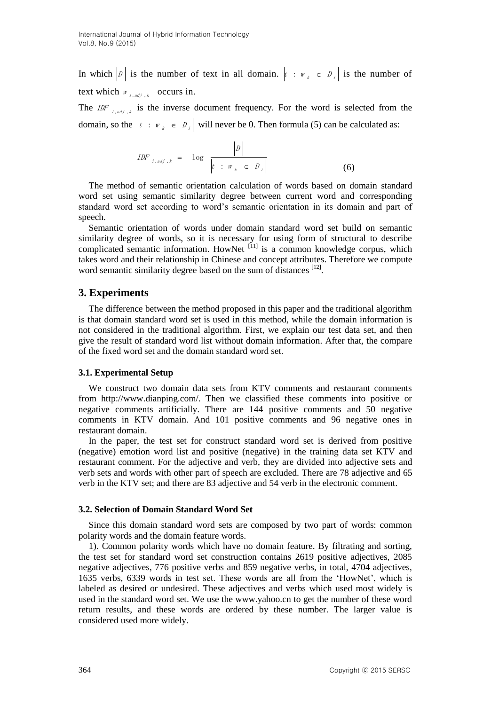In which  $|\mathcal{D}|$  is the number of text in all domain.  $|t : w_k \in \mathcal{D}_j|$  is the number of text which  $W_{i,adj, k}$  occurs in.

The *IDF*  $_{i,adj,k}$  is the inverse document frequency. For the word is selected from the domain, so the  $\begin{bmatrix} t & : \mathbb{W}_k \in D \end{bmatrix}$  will never be 0. Then formula (5) can be calculated as:

*IDF*<sub>*i*,*adj*,*k*</sub> = 
$$
\log \frac{|D|}{|t : w_k \in D_i|}
$$
 (6)

The method of semantic orientation calculation of words based on domain standard word set using semantic similarity degree between current word and corresponding standard word set according to word"s semantic orientation in its domain and part of speech.

Semantic orientation of words under domain standard word set build on semantic similarity degree of words, so it is necessary for using form of structural to describe complicated semantic information. HowNet  $[11]$  is a common knowledge corpus, which takes word and their relationship in Chinese and concept attributes. Therefore we compute word semantic similarity degree based on the sum of distances [12].

## **3. Experiments**

The difference between the method proposed in this paper and the traditional algorithm is that domain standard word set is used in this method, while the domain information is not considered in the traditional algorithm. First, we explain our test data set, and then give the result of standard word list without domain information. After that, the compare of the fixed word set and the domain standard word set.

#### **3.1. Experimental Setup**

We construct two domain data sets from KTV comments and restaurant comments from http://www.dianping.com/. Then we classified these comments into positive or negative comments artificially. There are 144 positive comments and 50 negative comments in KTV domain. And 101 positive comments and 96 negative ones in restaurant domain.

In the paper, the test set for construct standard word set is derived from positive (negative) emotion word list and positive (negative) in the training data set KTV and restaurant comment. For the adjective and verb, they are divided into adjective sets and verb sets and words with other part of speech are excluded. There are 78 adjective and 65 verb in the KTV set; and there are 83 adjective and 54 verb in the electronic comment.

#### **3.2. Selection of Domain Standard Word Set**

Since this domain standard word sets are composed by two part of words: common polarity words and the domain feature words.

1). Common polarity words which have no domain feature. By filtrating and sorting, the test set for standard word set construction contains 2619 positive adjectives, 2085 negative adjectives, 776 positive verbs and 859 negative verbs, in total, 4704 adjectives, 1635 verbs, 6339 words in test set. These words are all from the "HowNet", which is labeled as desired or undesired. These adjectives and verbs which used most widely is used in the standard word set. We use the www.yahoo.cn to get the number of these word return results, and these words are ordered by these number. The larger value is considered used more widely.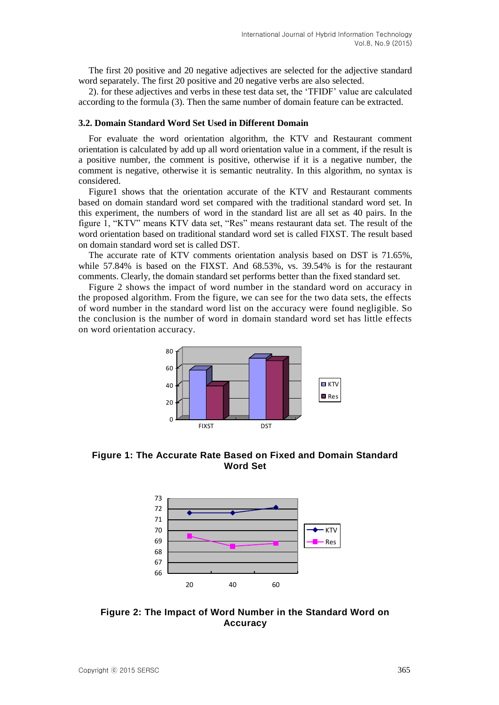The first 20 positive and 20 negative adjectives are selected for the adjective standard word separately. The first 20 positive and 20 negative verbs are also selected.

2). for these adjectives and verbs in these test data set, the "TFIDF" value are calculated according to the formula (3). Then the same number of domain feature can be extracted.

#### **3.2. Domain Standard Word Set Used in Different Domain**

For evaluate the word orientation algorithm, the KTV and Restaurant comment orientation is calculated by add up all word orientation value in a comment, if the result is a positive number, the comment is positive, otherwise if it is a negative number, the comment is negative, otherwise it is semantic neutrality. In this algorithm, no syntax is considered.

Figure1 shows that the orientation accurate of the KTV and Restaurant comments based on domain standard word set compared with the traditional standard word set. In this experiment, the numbers of word in the standard list are all set as 40 pairs. In the figure 1, "KTV" means KTV data set, "Res" means restaurant data set. The result of the word orientation based on traditional standard word set is called FIXST. The result based on domain standard word set is called DST.

The accurate rate of KTV comments orientation analysis based on DST is 71.65%, while 57.84% is based on the FIXST. And 68.53%, vs. 39.54% is for the restaurant comments. Clearly, the domain standard set performs better than the fixed standard set.

Figure 2 shows the impact of word number in the standard word on accuracy in the proposed algorithm. From the figure, we can see for the two data sets, the effects of word number in the standard word list on the accuracy were found negligible. So the conclusion is the number of word in domain standard word set has little effects on word orientation accuracy.



**Figure 1: The Accurate Rate Based on Fixed and Domain Standard Word Set**



**Figure 2: The Impact of Word Number in the Standard Word on Accuracy**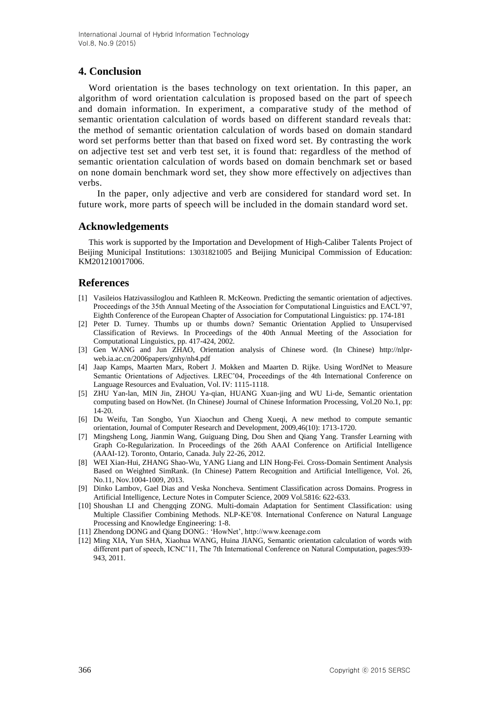# **4. Conclusion**

Word orientation is the bases technology on text orientation. In this paper, an algorithm of word orientation calculation is proposed based on the part of speech and domain information. In experiment, a comparative study of the method of semantic orientation calculation of words based on different standard reveals that: the method of semantic orientation calculation of words based on domain standard word set performs better than that based on fixed word set. By contrasting the work on adjective test set and verb test set, it is found that: regardless of the method of semantic orientation calculation of words based on domain benchmark set or based on none domain benchmark word set, they show more effectively on adjectives than verbs.

In the paper, only adjective and verb are considered for standard word set. In future work, more parts of speech will be included in the domain standard word set.

### **Acknowledgements**

This work is supported by the Importation and Development of High-Caliber Talents Project of Beijing Municipal Institutions: 13031821005 and Beijing Municipal Commission of Education: KM201210017006.

### **References**

- [1] Vasileios Hatzivassiloglou and Kathleen R. McKeown. Predicting the semantic orientation of adjectives. Proceedings of the 35th Annual Meeting of the Association for Computational Linguistics and EACL'97, Eighth Conference of the European Chapter of Association for Computational Linguistics: pp. 174-181
- [2] Peter D. Turney. Thumbs up or thumbs down? Semantic Orientation Applied to Unsupervised Classification of Reviews. In Proceedings of the 40th Annual Meeting of the Association for Computational Linguistics, pp. 417-424, 2002.
- [3] Gen WANG and Jun ZHAO, Orientation analysis of Chinese word. (In Chinese) http://nlprweb.ia.ac.cn/2006papers/gnhy/nh4.pdf
- [4] Jaap Kamps, Maarten Marx, Robert J. Mokken and Maarten D. Rijke. Using WordNet to Measure Semantic Orientations of Adjectives. LREC"04, Proceedings of the 4th International Conference on Language Resources and Evaluation, Vol. IV: 1115-1118.
- [5] ZHU Yan-lan, MIN Jin, ZHOU Ya-qian, HUANG Xuan-jing and WU Li-de, Semantic orientation computing based on HowNet. (In Chinese) Journal of Chinese Information Processing, Vol.20 No.1, pp: 14-20.
- [6] Du Weifu, Tan Songbo, Yun Xiaochun and Cheng Xueqi, A new method to compute semantic orientation, Journal of Computer Research and Development, 2009,46(10): 1713-1720.
- [7] Mingsheng Long, Jianmin Wang, Guiguang Ding, Dou Shen and Qiang Yang. Transfer Learning with Graph Co-Regularization. In Proceedings of the 26th AAAI Conference on Artificial Intelligence (AAAI-12). Toronto, Ontario, Canada. July 22-26, 2012.
- [8] WEI Xian-Hui, ZHANG Shao-Wu, YANG Liang and LIN Hong-Fei. Cross-Domain Sentiment Analysis Based on Weighted SimRank. (In Chinese) Pattern Recognition and Artificial Intelligence, Vol. 26, No.11, Nov.1004-1009, 2013.
- [9] Dinko Lambov, Gael Dias and Veska Noncheva. Sentiment Classification across Domains. Progress in Artificial Intelligence, Lecture Notes in Computer Science, 2009 Vol.5816: 622-633.
- [10] Shoushan LI and Chengqing ZONG. Multi-domain Adaptation for Sentiment Classification: using Multiple Classifier Combining Methods. NLP-KE"08. International Conference on Natural Language Processing and Knowledge Engineering: 1-8.
- [11] Zhendong DONG and Qiang DONG.: "HowNet", http://www.keenage.com
- [12] Ming XIA, Yun SHA, Xiaohua WANG, Huina JIANG, Semantic orientation calculation of words with different part of speech, ICNC"11, The 7th International Conference on Natural Computation, pages:939- 943, 2011.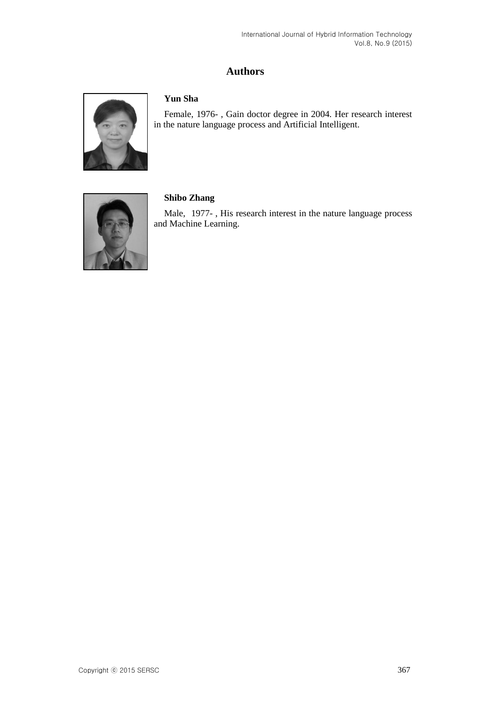# **Authors**



# **Yun Sha**

Female, 1976- , Gain doctor degree in 2004. Her research interest in the nature language process and Artificial Intelligent.



## **Shibo Zhang**

Male, 1977- , His research interest in the nature language process and Machine Learning.